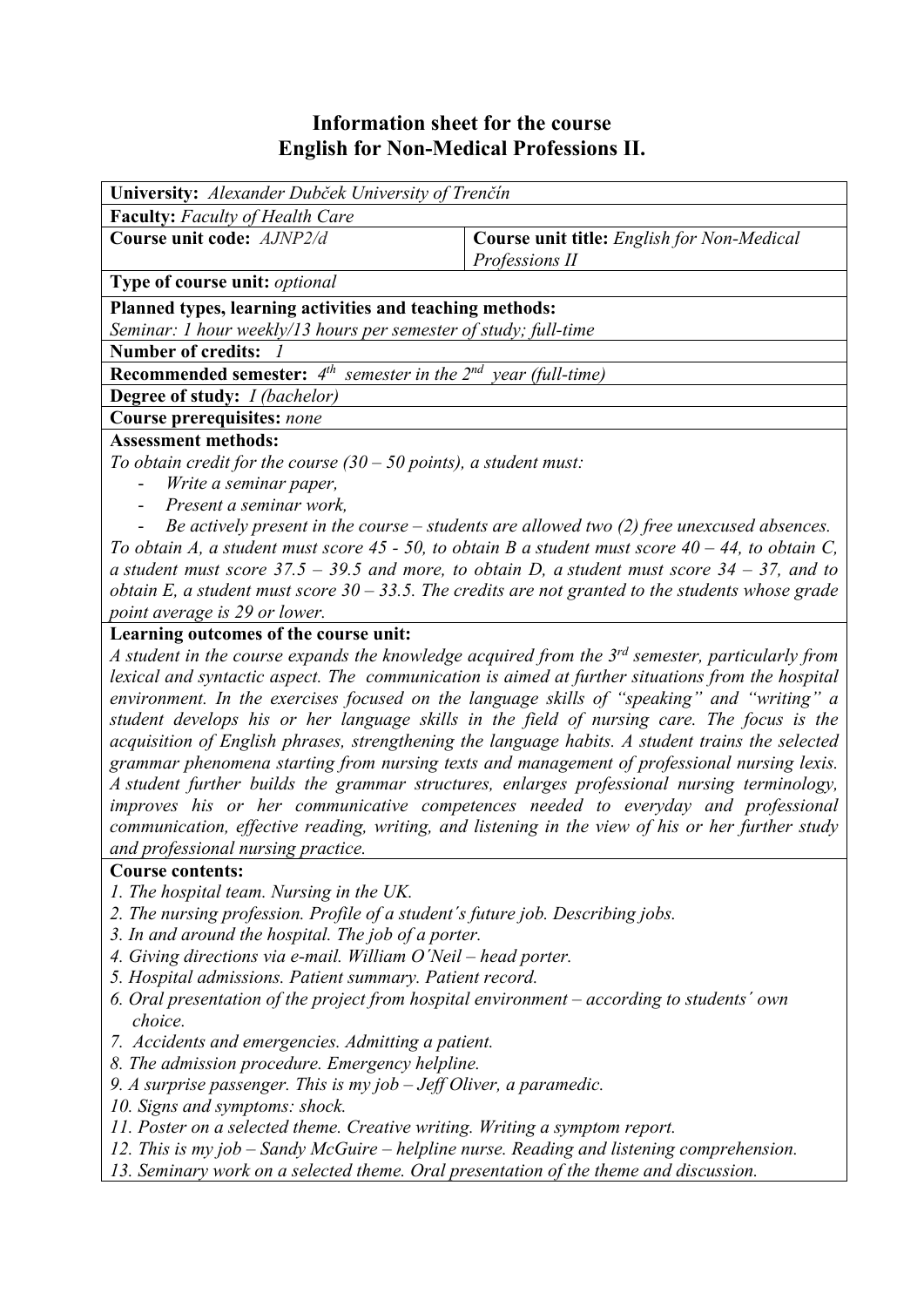## **Information sheet for the course English for Non-Medical Professions II.**

| University: Alexander Dubček University of Trenčín                                                                      |                                                   |  |  |  |  |  |
|-------------------------------------------------------------------------------------------------------------------------|---------------------------------------------------|--|--|--|--|--|
| <b>Faculty:</b> Faculty of Health Care                                                                                  |                                                   |  |  |  |  |  |
| Course unit code: AJNP2/d                                                                                               | <b>Course unit title:</b> English for Non-Medical |  |  |  |  |  |
|                                                                                                                         | Professions II                                    |  |  |  |  |  |
| Type of course unit: optional                                                                                           |                                                   |  |  |  |  |  |
| Planned types, learning activities and teaching methods:                                                                |                                                   |  |  |  |  |  |
| Seminar: 1 hour weekly/13 hours per semester of study; full-time                                                        |                                                   |  |  |  |  |  |
| Number of credits: /                                                                                                    |                                                   |  |  |  |  |  |
| <b>Recommended semester:</b> $4^{th}$ semester in the $2^{nd}$ year (full-time)                                         |                                                   |  |  |  |  |  |
| Degree of study: <i>I (bachelor)</i>                                                                                    |                                                   |  |  |  |  |  |
| Course prerequisites: none                                                                                              |                                                   |  |  |  |  |  |
| <b>Assessment methods:</b>                                                                                              |                                                   |  |  |  |  |  |
| To obtain credit for the course $(30 - 50$ points), a student must:                                                     |                                                   |  |  |  |  |  |
| Write a seminar paper,<br>$\frac{1}{2}$                                                                                 |                                                   |  |  |  |  |  |
| Present a seminar work,<br>$\overline{\phantom{a}}$                                                                     |                                                   |  |  |  |  |  |
| Be actively present in the course $-$ students are allowed two (2) free unexcused absences.<br>$\overline{\phantom{0}}$ |                                                   |  |  |  |  |  |
| To obtain A, a student must score 45 - 50, to obtain B a student must score $40 - 44$ , to obtain C,                    |                                                   |  |  |  |  |  |
| a student must score $37.5 - 39.5$ and more, to obtain D, a student must score $34 - 37$ , and to                       |                                                   |  |  |  |  |  |
| obtain E, a student must score $30 - 33.5$ . The credits are not granted to the students whose grade                    |                                                   |  |  |  |  |  |
| point average is 29 or lower.                                                                                           |                                                   |  |  |  |  |  |
| Learning outcomes of the course unit:                                                                                   |                                                   |  |  |  |  |  |
| A student in the course expands the knowledge acquired from the 3 <sup>rd</sup> semester, particularly from             |                                                   |  |  |  |  |  |
| lexical and syntactic aspect. The communication is aimed at further situations from the hospital                        |                                                   |  |  |  |  |  |
| environment. In the exercises focused on the language skills of "speaking" and "writing" a                              |                                                   |  |  |  |  |  |
| student develops his or her language skills in the field of nursing care. The focus is the                              |                                                   |  |  |  |  |  |
| acquisition of English phrases, strengthening the language habits. A student trains the selected                        |                                                   |  |  |  |  |  |
| grammar phenomena starting from nursing texts and management of professional nursing lexis.                             |                                                   |  |  |  |  |  |
| A student further builds the grammar structures, enlarges professional nursing terminology,                             |                                                   |  |  |  |  |  |
| improves his or her communicative competences needed to everyday and professional                                       |                                                   |  |  |  |  |  |
| communication, effective reading, writing, and listening in the view of his or her further study                        |                                                   |  |  |  |  |  |
| and professional nursing practice.                                                                                      |                                                   |  |  |  |  |  |
| <b>Course contents:</b>                                                                                                 |                                                   |  |  |  |  |  |
| 1. The hospital team. Nursing in the UK.                                                                                |                                                   |  |  |  |  |  |
| 2. The nursing profession. Profile of a student's future job. Describing jobs.                                          |                                                   |  |  |  |  |  |
| 3. In and around the hospital. The job of a porter.                                                                     |                                                   |  |  |  |  |  |

- *4. Giving directions via e-mail. William O´Neil head porter.*
- *5. Hospital admissions. Patient summary. Patient record.*
- *6. Oral presentation of the project from hospital environment according to students´ own choice.*
- *7. Accidents and emergencies. Admitting a patient.*
- *8. The admission procedure. Emergency helpline.*
- *9. A surprise passenger. This is my job Jeff Oliver, a paramedic.*
- *10. Signs and symptoms: shock.*
- *11. Poster on a selected theme. Creative writing. Writing a symptom report.*
- *12. This is my job Sandy McGuire helpline nurse. Reading and listening comprehension.*
- *13. Seminary work on a selected theme. Oral presentation of the theme and discussion.*